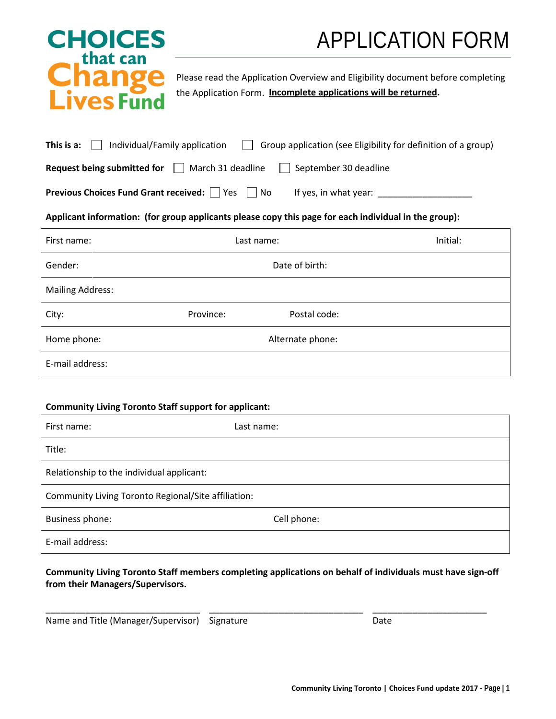# APPLICATION FORM

# **CHOICES** that can **Change<br>Lives Fund**

Please read the Application Overview and Eligibility document before completing the Application Form. **Incomplete applications will be returned.**

| Individual/Family application<br>This is a: $\Box$   | Group application (see Eligibility for definition of a group) |
|------------------------------------------------------|---------------------------------------------------------------|
| <b>Request being submitted for</b> March 31 deadline | September 30 deadline                                         |
|                                                      |                                                               |

**Previous Choices Fund Grant received:**  $\Box$  Yes  $\Box$  No If yes, in what year:  $\Box$ 

## **Applicant information: (for group applicants please copy this page for each individual in the group):**

| First name:             | Last name: |                  | Initial: |
|-------------------------|------------|------------------|----------|
| Gender:                 |            | Date of birth:   |          |
| <b>Mailing Address:</b> |            |                  |          |
| City:                   | Province:  | Postal code:     |          |
| Home phone:             |            | Alternate phone: |          |
| E-mail address:         |            |                  |          |

#### **Community Living Toronto Staff support for applicant:**

| First name:                                         | Last name:  |
|-----------------------------------------------------|-------------|
| Title:                                              |             |
| Relationship to the individual applicant:           |             |
| Community Living Toronto Regional/Site affiliation: |             |
| Business phone:                                     | Cell phone: |
| E-mail address:                                     |             |

# **Community Living Toronto Staff members completing applications on behalf of individuals must have sign-off from their Managers/Supervisors.**

\_\_\_\_\_\_\_\_\_\_\_\_\_\_\_\_\_\_\_\_\_\_\_\_\_\_\_\_\_\_\_ \_\_\_\_\_\_\_\_\_\_\_\_\_\_\_\_\_\_\_\_\_\_\_\_\_\_\_\_\_\_\_ \_\_\_\_\_\_\_\_\_\_\_\_\_\_\_\_\_\_\_\_\_\_\_

Name and Title (Manager/Supervisor) Signature **Date** Date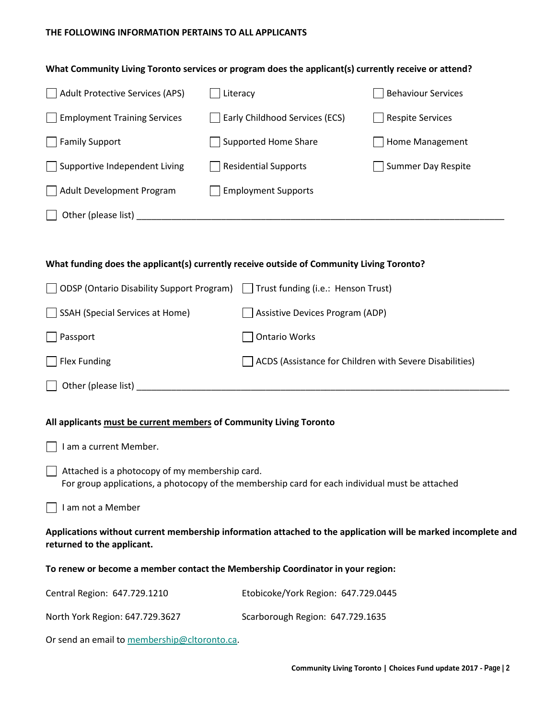# **THE FOLLOWING INFORMATION PERTAINS TO ALL APPLICANTS**

| What Community Living Toronto services or program does the applicant(s) currently receive or attend?                                        |                                                                                                 |                                                         |  |
|---------------------------------------------------------------------------------------------------------------------------------------------|-------------------------------------------------------------------------------------------------|---------------------------------------------------------|--|
| <b>Adult Protective Services (APS)</b>                                                                                                      | Literacy                                                                                        | <b>Behaviour Services</b>                               |  |
| <b>Employment Training Services</b>                                                                                                         | Early Childhood Services (ECS)                                                                  | <b>Respite Services</b>                                 |  |
| <b>Family Support</b>                                                                                                                       | <b>Supported Home Share</b>                                                                     | Home Management                                         |  |
| Supportive Independent Living                                                                                                               | <b>Residential Supports</b>                                                                     | <b>Summer Day Respite</b>                               |  |
| Adult Development Program                                                                                                                   | <b>Employment Supports</b>                                                                      |                                                         |  |
|                                                                                                                                             |                                                                                                 |                                                         |  |
|                                                                                                                                             |                                                                                                 |                                                         |  |
| What funding does the applicant(s) currently receive outside of Community Living Toronto?                                                   |                                                                                                 |                                                         |  |
| <b>ODSP (Ontario Disability Support Program)</b>                                                                                            | $\Box$ Trust funding (i.e.: Henson Trust)                                                       |                                                         |  |
| <b>SSAH (Special Services at Home)</b>                                                                                                      | <b>Assistive Devices Program (ADP)</b>                                                          |                                                         |  |
| Passport                                                                                                                                    | <b>Ontario Works</b>                                                                            |                                                         |  |
| <b>Flex Funding</b>                                                                                                                         |                                                                                                 | ACDS (Assistance for Children with Severe Disabilities) |  |
|                                                                                                                                             |                                                                                                 |                                                         |  |
|                                                                                                                                             |                                                                                                 |                                                         |  |
| All applicants must be current members of Community Living Toronto                                                                          |                                                                                                 |                                                         |  |
| I am a current Member.                                                                                                                      |                                                                                                 |                                                         |  |
| Attached is a photocopy of my membership card.                                                                                              | For group applications, a photocopy of the membership card for each individual must be attached |                                                         |  |
| I am not a Member                                                                                                                           |                                                                                                 |                                                         |  |
| Applications without current membership information attached to the application will be marked incomplete and<br>returned to the applicant. |                                                                                                 |                                                         |  |
| To renew or become a member contact the Membership Coordinator in your region:                                                              |                                                                                                 |                                                         |  |
| Central Region: 647.729.1210                                                                                                                | Etobicoke/York Region: 647.729.0445                                                             |                                                         |  |
| North York Region: 647.729.3627                                                                                                             | Scarborough Region: 647.729.1635                                                                |                                                         |  |
|                                                                                                                                             |                                                                                                 |                                                         |  |

Or send an email to [membership@cltoronto.ca.](mailto:membership@cltoronto.ca)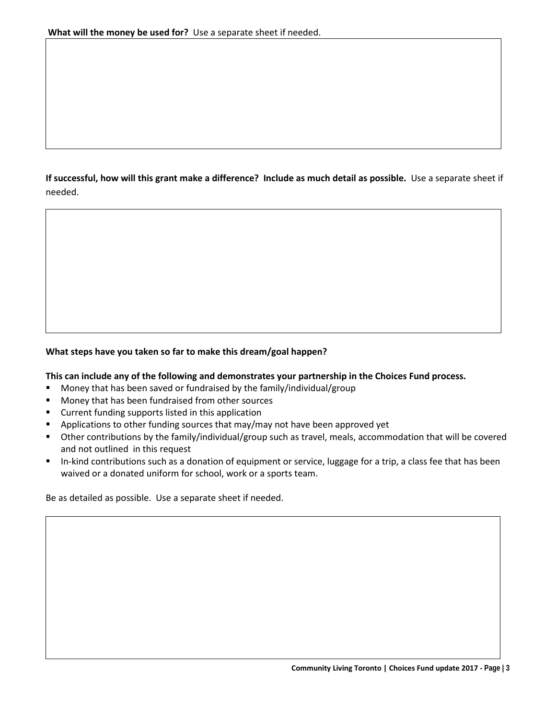**If successful, how will this grant make a difference? Include as much detail as possible.** Use a separate sheet if needed.

## **What steps have you taken so far to make this dream/goal happen?**

#### **This can include any of the following and demonstrates your partnership in the Choices Fund process.**

- **Money that has been saved or fundraised by the family/individual/group**
- **Money that has been fundraised from other sources**
- **E** Current funding supports listed in this application
- Applications to other funding sources that may/may not have been approved yet
- Other contributions by the family/individual/group such as travel, meals, accommodation that will be covered and not outlined in this request
- In-kind contributions such as a donation of equipment or service, luggage for a trip, a class fee that has been waived or a donated uniform for school, work or a sports team.

Be as detailed as possible. Use a separate sheet if needed.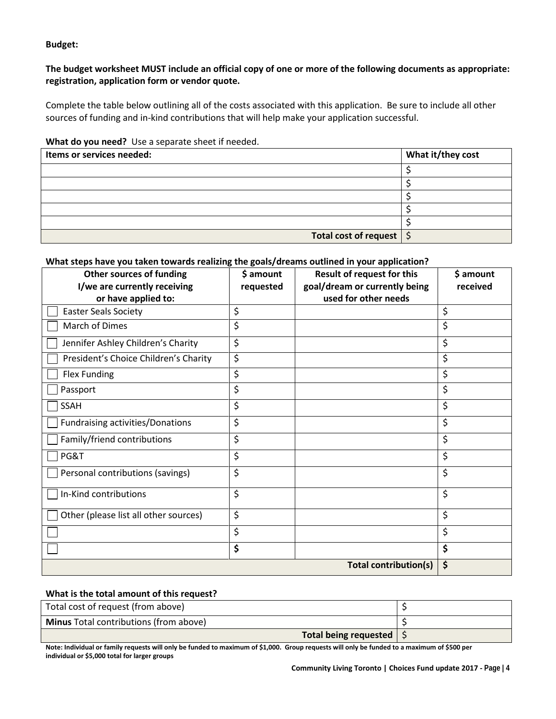**Budget:** 

## **The budget worksheet MUST include an official copy of one or more of the following documents as appropriate: registration, application form or vendor quote.**

Complete the table below outlining all of the costs associated with this application. Be sure to include all other sources of funding and in-kind contributions that will help make your application successful.

#### **What do you need?** Use a separate sheet if needed.

| Items or services needed:           | What it/they cost |
|-------------------------------------|-------------------|
|                                     |                   |
|                                     |                   |
|                                     |                   |
|                                     |                   |
|                                     |                   |
| Total cost of request $\frac{1}{2}$ |                   |

# **What steps have you taken towards realizing the goals/dreams outlined in your application?**

| <b>Other sources of funding</b><br>I/we are currently receiving<br>or have applied to: | \$ amount<br>requested | <b>Result of request for this</b><br>goal/dream or currently being<br>used for other needs | \$ amount<br>received |
|----------------------------------------------------------------------------------------|------------------------|--------------------------------------------------------------------------------------------|-----------------------|
| <b>Easter Seals Society</b>                                                            | \$                     |                                                                                            | \$                    |
| March of Dimes                                                                         | \$                     |                                                                                            | \$                    |
| Jennifer Ashley Children's Charity                                                     | \$                     |                                                                                            | \$                    |
| President's Choice Children's Charity                                                  | \$                     |                                                                                            | \$                    |
| Flex Funding                                                                           | \$                     |                                                                                            | \$                    |
| Passport                                                                               | \$                     |                                                                                            | \$                    |
| <b>SSAH</b>                                                                            | \$                     |                                                                                            | \$                    |
| <b>Fundraising activities/Donations</b>                                                | \$                     |                                                                                            | \$                    |
| Family/friend contributions                                                            | \$                     |                                                                                            | \$                    |
| PG&T                                                                                   | \$                     |                                                                                            | \$                    |
| Personal contributions (savings)                                                       | \$                     |                                                                                            | \$                    |
| In-Kind contributions                                                                  | \$                     |                                                                                            | \$                    |
| Other (please list all other sources)                                                  | \$                     |                                                                                            | \$                    |
|                                                                                        | \$                     |                                                                                            | \$                    |
|                                                                                        | \$                     |                                                                                            | \$                    |
|                                                                                        |                        | <b>Total contribution(s)</b>                                                               | \$                    |

#### **What is the total amount of this request?**

| Total cost of request (from above)            |  |
|-----------------------------------------------|--|
| <b>Minus</b> Total contributions (from above) |  |
| Total being requested                         |  |

**Note: Individual or family requests will only be funded to maximum of \$1,000. Group requests will only be funded to a maximum of \$500 per individual or \$5,000 total for larger groups**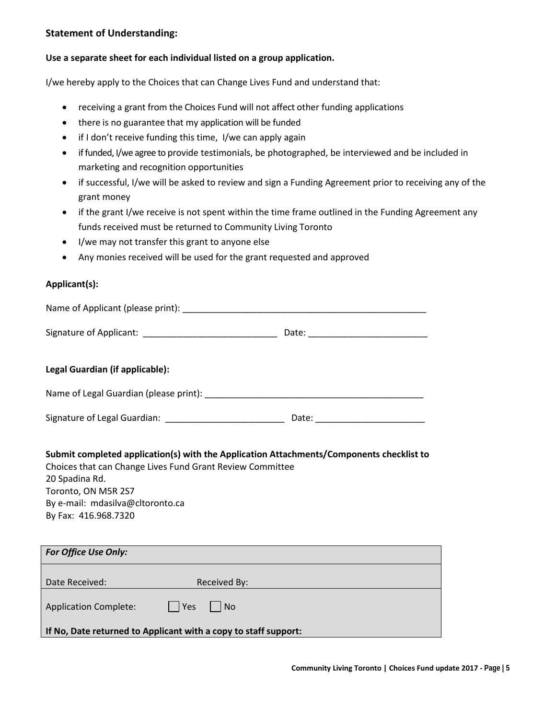### **Statement of Understanding:**

#### **Use a separate sheet for each individual listed on a group application.**

I/we hereby apply to the Choices that can Change Lives Fund and understand that:

- receiving a grant from the Choices Fund will not affect other funding applications
- there is no guarantee that my application will be funded
- if I don't receive funding this time, I/we can apply again
- if funded, I/we agree to provide testimonials, be photographed, be interviewed and be included in marketing and recognition opportunities
- if successful, I/we will be asked to review and sign a Funding Agreement prior to receiving any of the grant money
- if the grant I/we receive is not spent within the time frame outlined in the Funding Agreement any funds received must be returned to Community Living Toronto
- I/we may not transfer this grant to anyone else
- Any monies received will be used for the grant requested and approved

#### **Applicant(s):**

| Legal Guardian (if applicable):                                                                                                                                                                |  |
|------------------------------------------------------------------------------------------------------------------------------------------------------------------------------------------------|--|
|                                                                                                                                                                                                |  |
|                                                                                                                                                                                                |  |
| Submit completed application(s) with the Application Attachments/Components checklist to<br>Choices that can Change Lives Fund Grant Review Committee<br>20 Spadina Rd.<br>Toronto, ON M5R 2S7 |  |

By e-mail: mdasilva@cltoronto.ca By Fax: 416.968.7320

| <b>For Office Use Only:</b>                                     |                            |
|-----------------------------------------------------------------|----------------------------|
| Date Received:                                                  | Received By:               |
| <b>Application Complete:</b>                                    | Yes <br>$\vert$ $\vert$ No |
| If No, Date returned to Applicant with a copy to staff support: |                            |